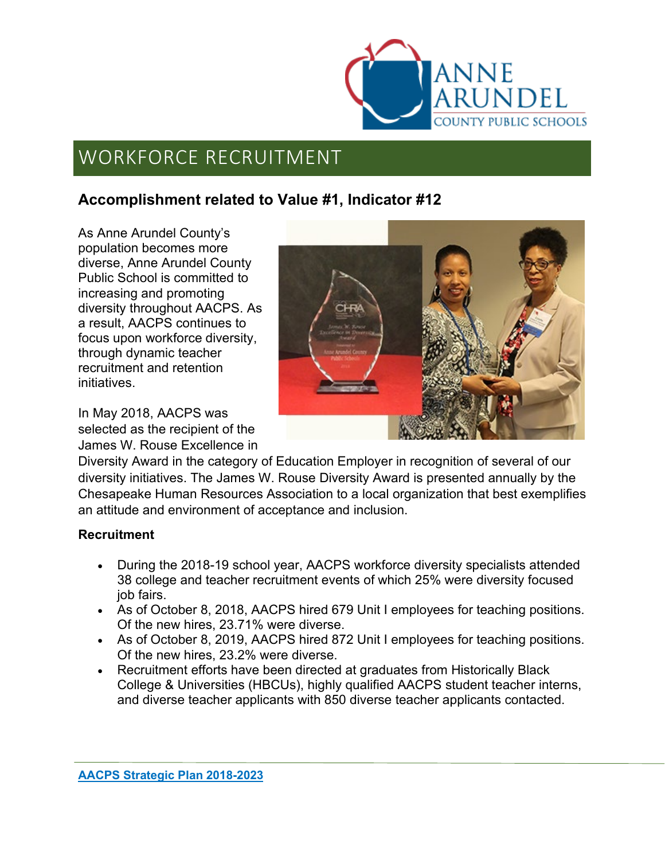

#### **Accomplishment related to Value #1, Indicator #12**

As Anne Arundel County's population becomes more diverse, Anne Arundel County Public School is committed to increasing and promoting diversity throughout AACPS. As a result, AACPS continues to focus upon workforce diversity, through dynamic teacher recruitment and retention initiatives.

In May 2018, AACPS was selected as the recipient of the James W. Rouse Excellence in



Diversity Award in the category of Education Employer in recognition of several of our diversity initiatives. The James W. Rouse Diversity Award is presented annually by the Chesapeake Human Resources Association to a local organization that best exemplifies an attitude and environment of acceptance and inclusion.

#### **Recruitment**

- During the 2018-19 school year, AACPS workforce diversity specialists attended 38 college and teacher recruitment events of which 25% were diversity focused job fairs.
- As of October 8, 2018, AACPS hired 679 Unit I employees for teaching positions. Of the new hires, 23.71% were diverse.
- As of October 8, 2019, AACPS hired 872 Unit I employees for teaching positions. Of the new hires, 23.2% were diverse.
- Recruitment efforts have been directed at graduates from Historically Black College & Universities (HBCUs), highly qualified AACPS student teacher interns, and diverse teacher applicants with 850 diverse teacher applicants contacted.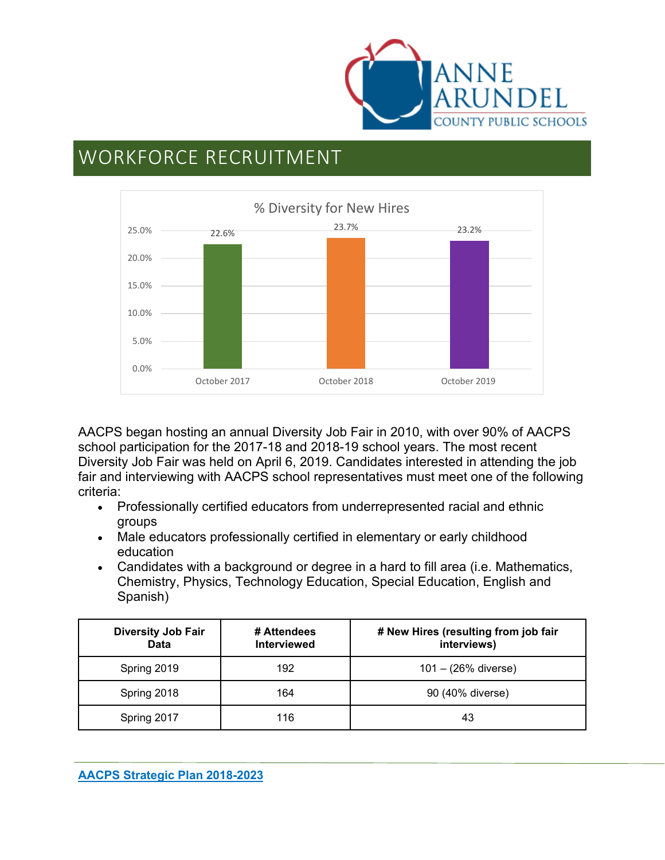



AACPS began hosting an annual Diversity Job Fair in 2010, with over 90% of AACPS school participation for the 2017-18 and 2018-19 school years. The most recent Diversity Job Fair was held on April 6, 2019. Candidates interested in attending the job fair and interviewing with AACPS school representatives must meet one of the following criteria:

- Professionally certified educators from underrepresented racial and ethnic groups
- Male educators professionally certified in elementary or early childhood education
- Candidates with a background or degree in a hard to fill area (i.e. Mathematics, Chemistry, Physics, Technology Education, Special Education, English and Spanish)

| <b>Diversity Job Fair</b><br>Data | # Attendees<br><b>Interviewed</b> | # New Hires (resulting from job fair<br>interviews) |
|-----------------------------------|-----------------------------------|-----------------------------------------------------|
| Spring 2019                       | 192                               | $101 - (26\%$ diverse)                              |
| Spring 2018                       | 164                               | 90 (40% diverse)                                    |
| Spring 2017                       | 116                               | 43                                                  |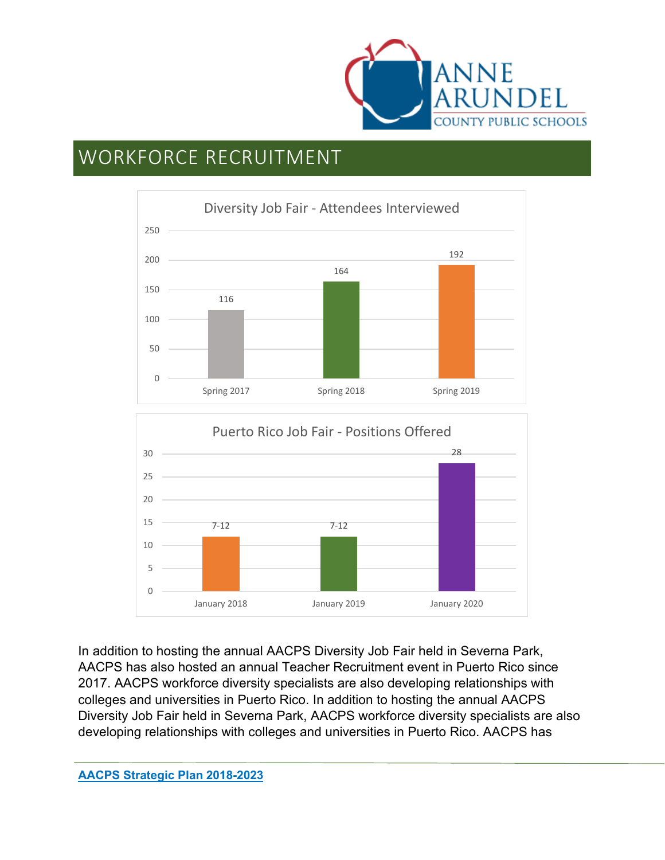



In addition to hosting the annual AACPS Diversity Job Fair held in Severna Park, AACPS has also hosted an annual Teacher Recruitment event in Puerto Rico since 2017. AACPS workforce diversity specialists are also developing relationships with colleges and universities in Puerto Rico. In addition to hosting the annual AACPS Diversity Job Fair held in Severna Park, AACPS workforce diversity specialists are also developing relationships with colleges and universities in Puerto Rico. AACPS has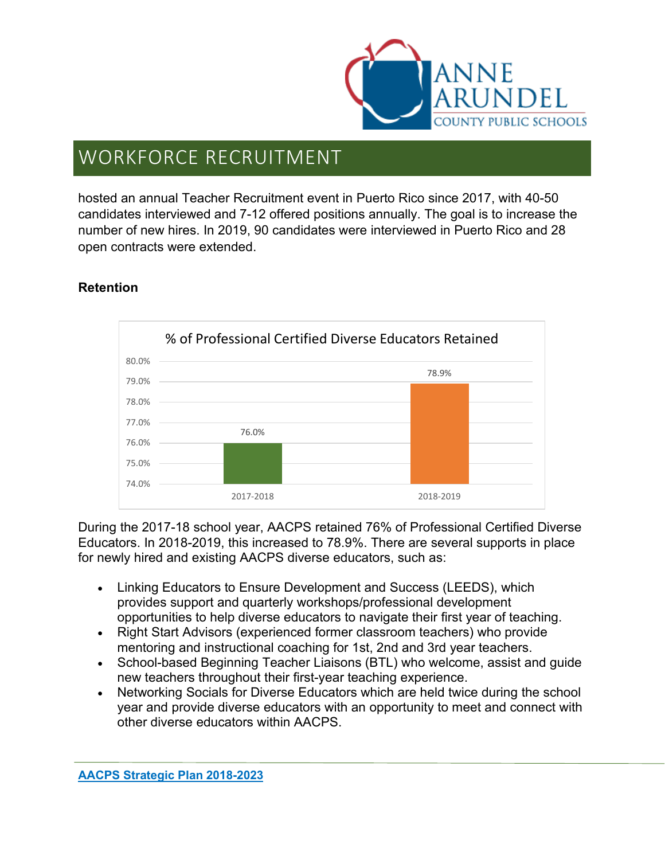

hosted an annual Teacher Recruitment event in Puerto Rico since 2017, with 40-50 candidates interviewed and 7-12 offered positions annually. The goal is to increase the number of new hires. In 2019, 90 candidates were interviewed in Puerto Rico and 28 open contracts were extended.

#### **Retention**



During the 2017-18 school year, AACPS retained 76% of Professional Certified Diverse Educators. In 2018-2019, this increased to 78.9%. There are several supports in place for newly hired and existing AACPS diverse educators, such as:

- Linking Educators to Ensure Development and Success (LEEDS), which provides support and quarterly workshops/professional development opportunities to help diverse educators to navigate their first year of teaching.
- Right Start Advisors (experienced former classroom teachers) who provide mentoring and instructional coaching for 1st, 2nd and 3rd year teachers.
- School-based Beginning Teacher Liaisons (BTL) who welcome, assist and guide new teachers throughout their first-year teaching experience.
- Networking Socials for Diverse Educators which are held twice during the school year and provide diverse educators with an opportunity to meet and connect with other diverse educators within AACPS.